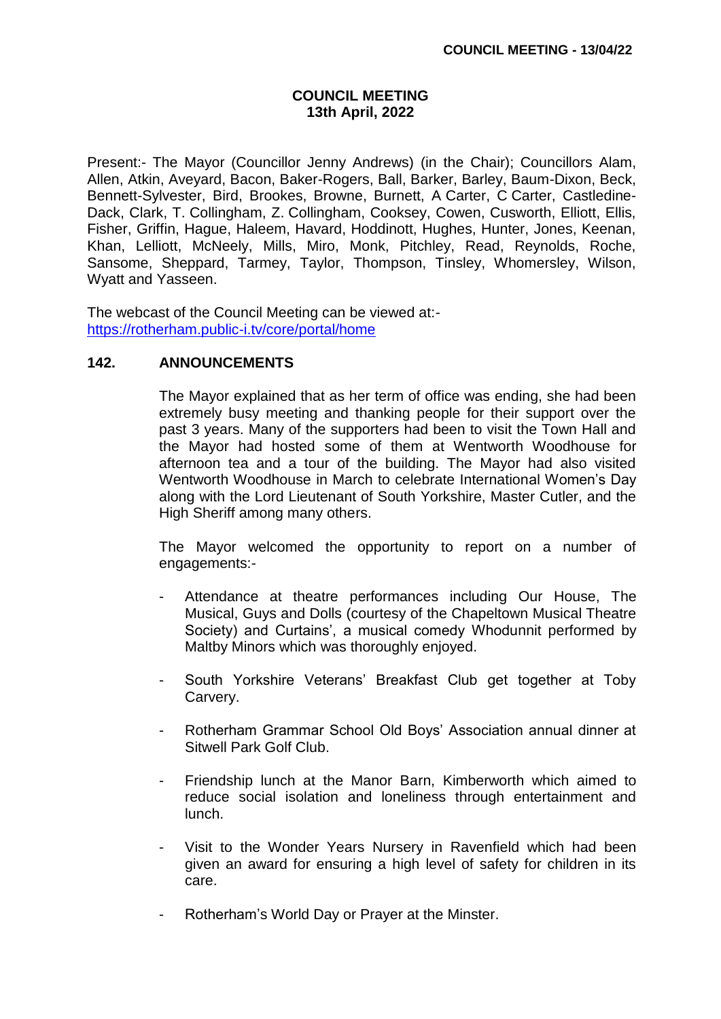### **COUNCIL MEETING 13th April, 2022**

Present:- The Mayor (Councillor Jenny Andrews) (in the Chair); Councillors Alam, Allen, Atkin, Aveyard, Bacon, Baker-Rogers, Ball, Barker, Barley, Baum-Dixon, Beck, Bennett-Sylvester, Bird, Brookes, Browne, Burnett, A Carter, C Carter, Castledine-Dack, Clark, T. Collingham, Z. Collingham, Cooksey, Cowen, Cusworth, Elliott, Ellis, Fisher, Griffin, Hague, Haleem, Havard, Hoddinott, Hughes, Hunter, Jones, Keenan, Khan, Lelliott, McNeely, Mills, Miro, Monk, Pitchley, Read, Reynolds, Roche, Sansome, Sheppard, Tarmey, Taylor, Thompson, Tinsley, Whomersley, Wilson, Wyatt and Yasseen.

The webcast of the Council Meeting can be viewed at: <https://rotherham.public-i.tv/core/portal/home>

## **142. ANNOUNCEMENTS**

The Mayor explained that as her term of office was ending, she had been extremely busy meeting and thanking people for their support over the past 3 years. Many of the supporters had been to visit the Town Hall and the Mayor had hosted some of them at Wentworth Woodhouse for afternoon tea and a tour of the building. The Mayor had also visited Wentworth Woodhouse in March to celebrate International Women's Day along with the Lord Lieutenant of South Yorkshire, Master Cutler, and the High Sheriff among many others.

The Mayor welcomed the opportunity to report on a number of engagements:-

- Attendance at theatre performances including Our House, The Musical, Guys and Dolls (courtesy of the Chapeltown Musical Theatre Society) and Curtains', a musical comedy Whodunnit performed by Maltby Minors which was thoroughly enjoyed.
- South Yorkshire Veterans' Breakfast Club get together at Toby Carvery.
- Rotherham Grammar School Old Boys' Association annual dinner at Sitwell Park Golf Club.
- Friendship lunch at the Manor Barn, Kimberworth which aimed to reduce social isolation and loneliness through entertainment and lunch.
- Visit to the Wonder Years Nursery in Ravenfield which had been given an award for ensuring a high level of safety for children in its care.
- Rotherham's World Day or Prayer at the Minster.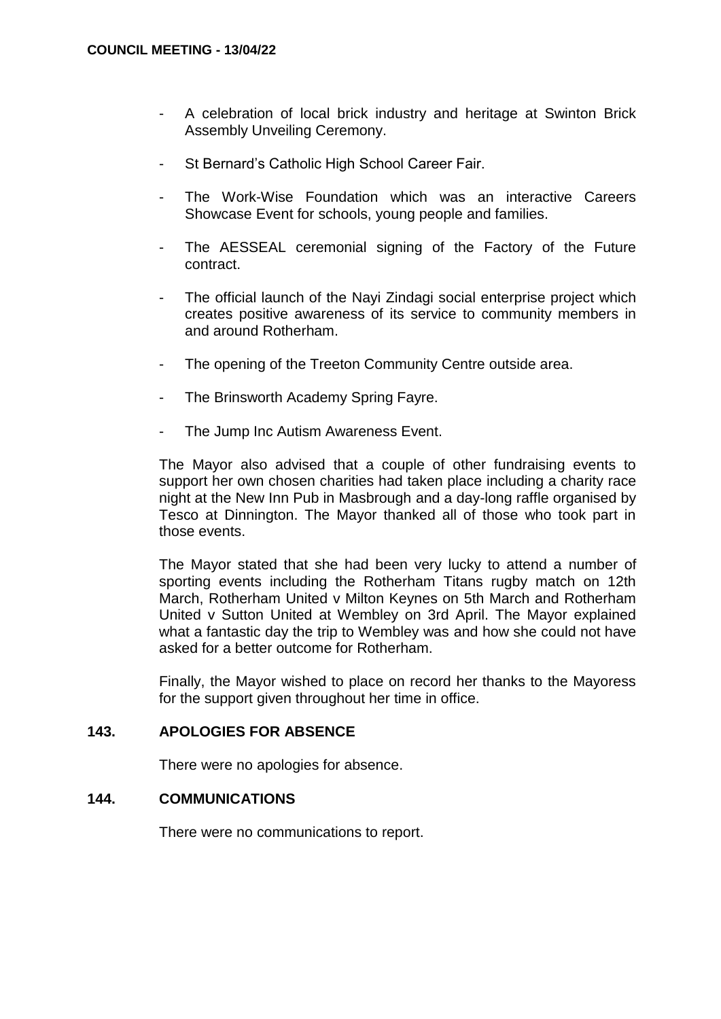- A celebration of local brick industry and heritage at Swinton Brick Assembly Unveiling Ceremony.
- St Bernard's Catholic High School Career Fair.
- The Work-Wise Foundation which was an interactive Careers Showcase Event for schools, young people and families.
- The AESSEAL ceremonial signing of the Factory of the Future contract.
- The official launch of the Nayi Zindagi social enterprise project which creates positive awareness of its service to community members in and around Rotherham.
- The opening of the Treeton Community Centre outside area.
- The Brinsworth Academy Spring Fayre.
- The Jump Inc Autism Awareness Event.

The Mayor also advised that a couple of other fundraising events to support her own chosen charities had taken place including a charity race night at the New Inn Pub in Masbrough and a day-long raffle organised by Tesco at Dinnington. The Mayor thanked all of those who took part in those events.

The Mayor stated that she had been very lucky to attend a number of sporting events including the Rotherham Titans rugby match on 12th March, Rotherham United v Milton Keynes on 5th March and Rotherham United v Sutton United at Wembley on 3rd April. The Mayor explained what a fantastic day the trip to Wembley was and how she could not have asked for a better outcome for Rotherham.

Finally, the Mayor wished to place on record her thanks to the Mayoress for the support given throughout her time in office.

#### **143. APOLOGIES FOR ABSENCE**

There were no apologies for absence.

#### **144. COMMUNICATIONS**

There were no communications to report.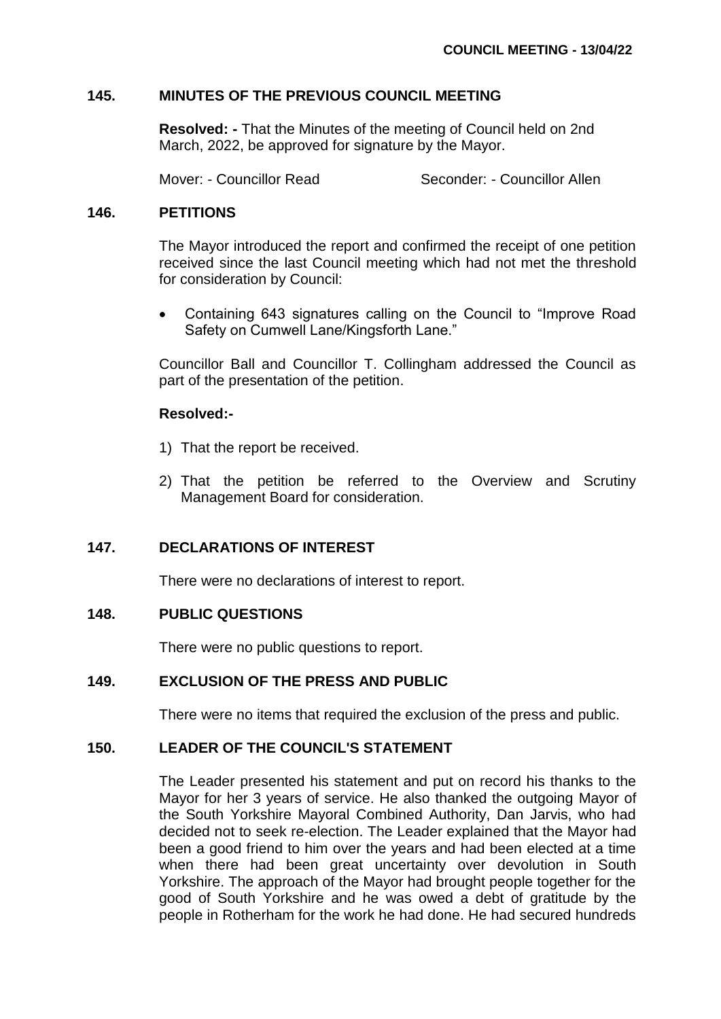### **145. MINUTES OF THE PREVIOUS COUNCIL MEETING**

**Resolved: -** That the Minutes of the meeting of Council held on 2nd March, 2022, be approved for signature by the Mayor.

Mover: - Councillor Read Seconder: - Councillor Allen

### **146. PETITIONS**

The Mayor introduced the report and confirmed the receipt of one petition received since the last Council meeting which had not met the threshold for consideration by Council:

 Containing 643 signatures calling on the Council to "Improve Road Safety on Cumwell Lane/Kingsforth Lane."

Councillor Ball and Councillor T. Collingham addressed the Council as part of the presentation of the petition.

### **Resolved:-**

- 1) That the report be received.
- 2) That the petition be referred to the Overview and Scrutiny Management Board for consideration.

## **147. DECLARATIONS OF INTEREST**

There were no declarations of interest to report.

## **148. PUBLIC QUESTIONS**

There were no public questions to report.

## **149. EXCLUSION OF THE PRESS AND PUBLIC**

There were no items that required the exclusion of the press and public.

# **150. LEADER OF THE COUNCIL'S STATEMENT**

The Leader presented his statement and put on record his thanks to the Mayor for her 3 years of service. He also thanked the outgoing Mayor of the South Yorkshire Mayoral Combined Authority, Dan Jarvis, who had decided not to seek re-election. The Leader explained that the Mayor had been a good friend to him over the years and had been elected at a time when there had been great uncertainty over devolution in South Yorkshire. The approach of the Mayor had brought people together for the good of South Yorkshire and he was owed a debt of gratitude by the people in Rotherham for the work he had done. He had secured hundreds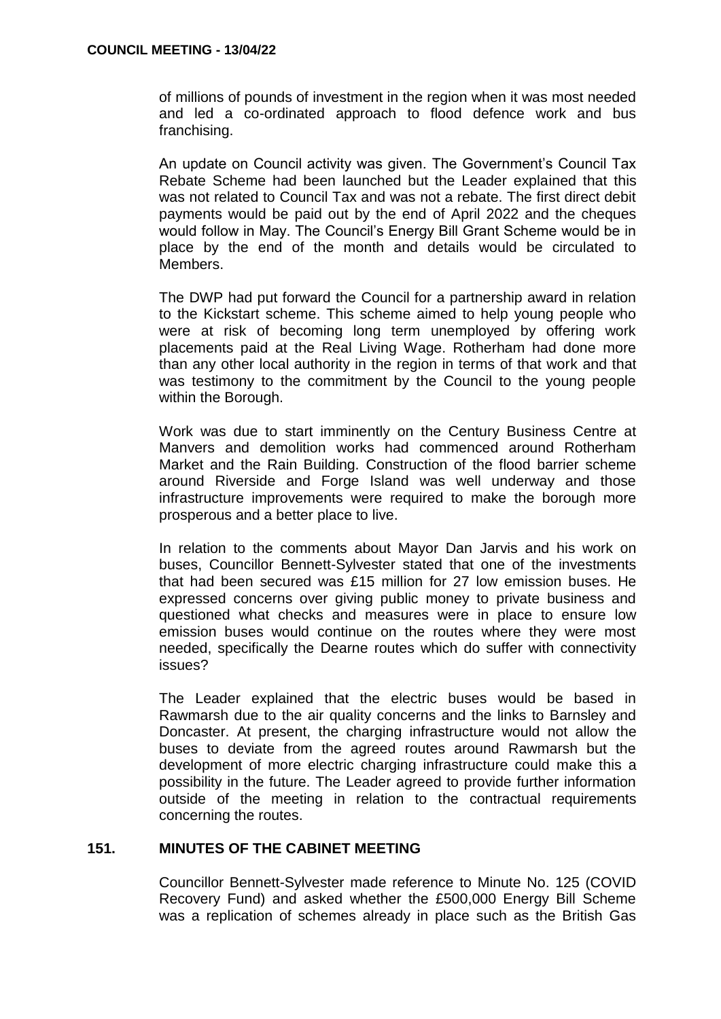of millions of pounds of investment in the region when it was most needed and led a co-ordinated approach to flood defence work and bus franchising.

An update on Council activity was given. The Government's Council Tax Rebate Scheme had been launched but the Leader explained that this was not related to Council Tax and was not a rebate. The first direct debit payments would be paid out by the end of April 2022 and the cheques would follow in May. The Council's Energy Bill Grant Scheme would be in place by the end of the month and details would be circulated to Members.

The DWP had put forward the Council for a partnership award in relation to the Kickstart scheme. This scheme aimed to help young people who were at risk of becoming long term unemployed by offering work placements paid at the Real Living Wage. Rotherham had done more than any other local authority in the region in terms of that work and that was testimony to the commitment by the Council to the young people within the Borough.

Work was due to start imminently on the Century Business Centre at Manvers and demolition works had commenced around Rotherham Market and the Rain Building. Construction of the flood barrier scheme around Riverside and Forge Island was well underway and those infrastructure improvements were required to make the borough more prosperous and a better place to live.

In relation to the comments about Mayor Dan Jarvis and his work on buses, Councillor Bennett-Sylvester stated that one of the investments that had been secured was £15 million for 27 low emission buses. He expressed concerns over giving public money to private business and questioned what checks and measures were in place to ensure low emission buses would continue on the routes where they were most needed, specifically the Dearne routes which do suffer with connectivity issues?

The Leader explained that the electric buses would be based in Rawmarsh due to the air quality concerns and the links to Barnsley and Doncaster. At present, the charging infrastructure would not allow the buses to deviate from the agreed routes around Rawmarsh but the development of more electric charging infrastructure could make this a possibility in the future. The Leader agreed to provide further information outside of the meeting in relation to the contractual requirements concerning the routes.

# **151. MINUTES OF THE CABINET MEETING**

Councillor Bennett-Sylvester made reference to Minute No. 125 (COVID Recovery Fund) and asked whether the £500,000 Energy Bill Scheme was a replication of schemes already in place such as the British Gas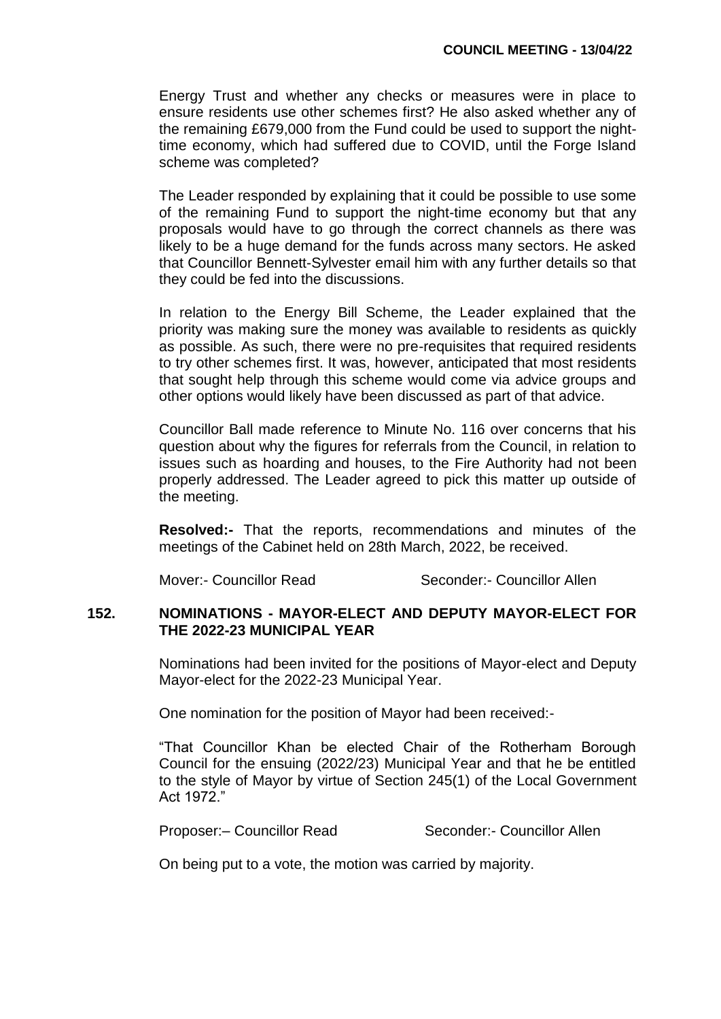Energy Trust and whether any checks or measures were in place to ensure residents use other schemes first? He also asked whether any of the remaining £679,000 from the Fund could be used to support the nighttime economy, which had suffered due to COVID, until the Forge Island scheme was completed?

The Leader responded by explaining that it could be possible to use some of the remaining Fund to support the night-time economy but that any proposals would have to go through the correct channels as there was likely to be a huge demand for the funds across many sectors. He asked that Councillor Bennett-Sylvester email him with any further details so that they could be fed into the discussions.

In relation to the Energy Bill Scheme, the Leader explained that the priority was making sure the money was available to residents as quickly as possible. As such, there were no pre-requisites that required residents to try other schemes first. It was, however, anticipated that most residents that sought help through this scheme would come via advice groups and other options would likely have been discussed as part of that advice.

Councillor Ball made reference to Minute No. 116 over concerns that his question about why the figures for referrals from the Council, in relation to issues such as hoarding and houses, to the Fire Authority had not been properly addressed. The Leader agreed to pick this matter up outside of the meeting.

**Resolved:-** That the reports, recommendations and minutes of the meetings of the Cabinet held on 28th March, 2022, be received.

Mover:- Councillor Read Seconder:- Councillor Allen

### **152. NOMINATIONS - MAYOR-ELECT AND DEPUTY MAYOR-ELECT FOR THE 2022-23 MUNICIPAL YEAR**

Nominations had been invited for the positions of Mayor-elect and Deputy Mayor-elect for the 2022-23 Municipal Year.

One nomination for the position of Mayor had been received:-

"That Councillor Khan be elected Chair of the Rotherham Borough Council for the ensuing (2022/23) Municipal Year and that he be entitled to the style of Mayor by virtue of Section 245(1) of the Local Government Act 1972."

Proposer:- Councillor Read Seconder:- Councillor Allen

On being put to a vote, the motion was carried by majority.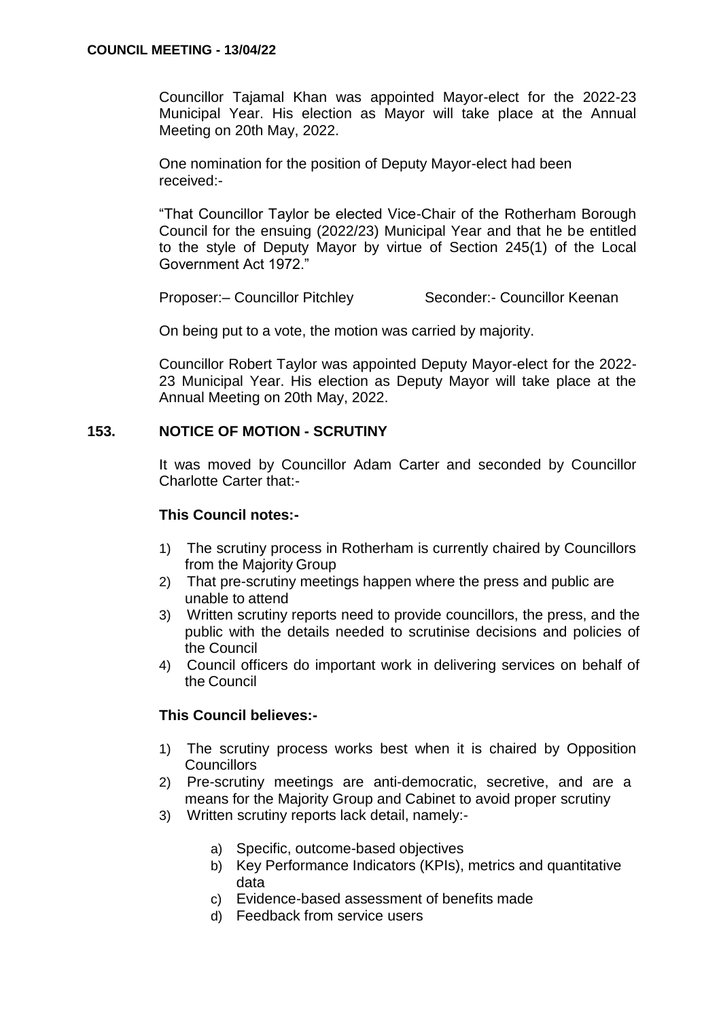Councillor Tajamal Khan was appointed Mayor-elect for the 2022-23 Municipal Year. His election as Mayor will take place at the Annual Meeting on 20th May, 2022.

One nomination for the position of Deputy Mayor-elect had been received:-

"That Councillor Taylor be elected Vice-Chair of the Rotherham Borough Council for the ensuing (2022/23) Municipal Year and that he be entitled to the style of Deputy Mayor by virtue of Section 245(1) of the Local Government Act 1972."

Proposer:- Councillor Pitchley Seconder:- Councillor Keenan

On being put to a vote, the motion was carried by majority.

Councillor Robert Taylor was appointed Deputy Mayor-elect for the 2022- 23 Municipal Year. His election as Deputy Mayor will take place at the Annual Meeting on 20th May, 2022.

## **153. NOTICE OF MOTION - SCRUTINY**

It was moved by Councillor Adam Carter and seconded by Councillor Charlotte Carter that:-

### **This Council notes:-**

- 1) The scrutiny process in Rotherham is currently chaired by Councillors from the Majority Group
- 2) That pre-scrutiny meetings happen where the press and public are unable to attend
- 3) Written scrutiny reports need to provide councillors, the press, and the public with the details needed to scrutinise decisions and policies of the Council
- 4) Council officers do important work in delivering services on behalf of the Council

## **This Council believes:-**

- 1) The scrutiny process works best when it is chaired by Opposition **Councillors**
- 2) Pre-scrutiny meetings are anti-democratic, secretive, and are a means for the Majority Group and Cabinet to avoid proper scrutiny
- 3) Written scrutiny reports lack detail, namely:
	- a) Specific, outcome-based objectives
	- b) Key Performance Indicators (KPIs), metrics and quantitative data
	- c) Evidence-based assessment of benefits made
	- d) Feedback from service users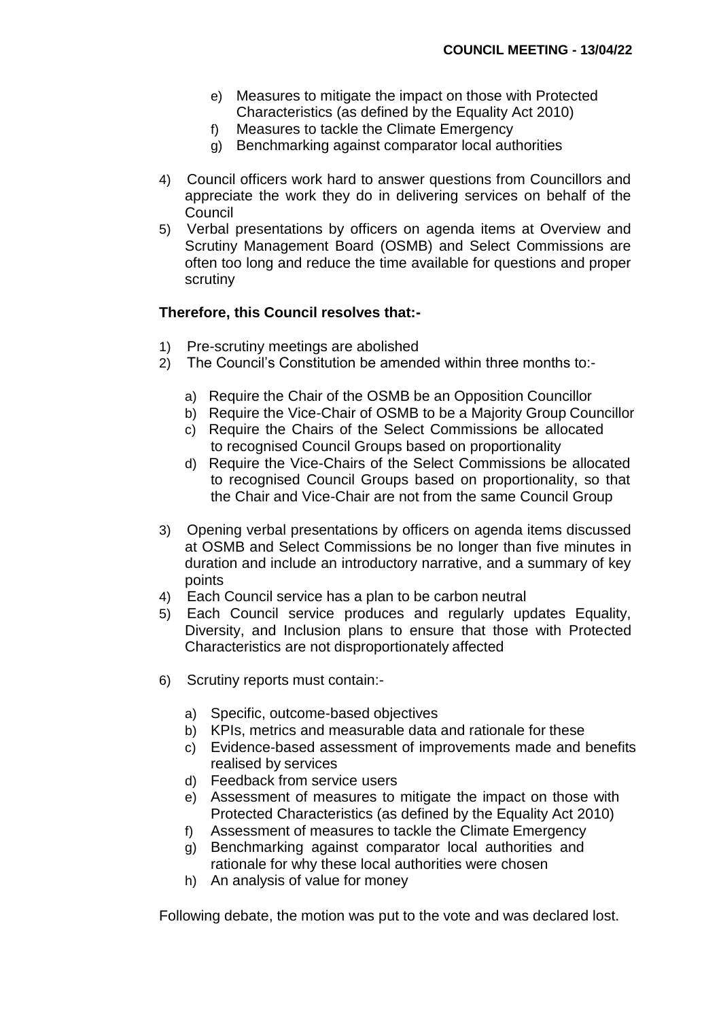- e) Measures to mitigate the impact on those with Protected Characteristics (as defined by the Equality Act 2010)
- f) Measures to tackle the Climate Emergency
- g) Benchmarking against comparator local authorities
- 4) Council officers work hard to answer questions from Councillors and appreciate the work they do in delivering services on behalf of the **Council**
- 5) Verbal presentations by officers on agenda items at Overview and Scrutiny Management Board (OSMB) and Select Commissions are often too long and reduce the time available for questions and proper scrutiny

### **Therefore, this Council resolves that:-**

- 1) Pre-scrutiny meetings are abolished
- 2) The Council's Constitution be amended within three months to:
	- a) Require the Chair of the OSMB be an Opposition Councillor
	- b) Require the Vice-Chair of OSMB to be a Majority Group Councillor
	- c) Require the Chairs of the Select Commissions be allocated to recognised Council Groups based on proportionality
	- d) Require the Vice-Chairs of the Select Commissions be allocated to recognised Council Groups based on proportionality, so that the Chair and Vice-Chair are not from the same Council Group
- 3) Opening verbal presentations by officers on agenda items discussed at OSMB and Select Commissions be no longer than five minutes in duration and include an introductory narrative, and a summary of key points
- 4) Each Council service has a plan to be carbon neutral
- 5) Each Council service produces and regularly updates Equality, Diversity, and Inclusion plans to ensure that those with Protected Characteristics are not disproportionately affected
- 6) Scrutiny reports must contain:
	- a) Specific, outcome-based objectives
	- b) KPIs, metrics and measurable data and rationale for these
	- c) Evidence-based assessment of improvements made and benefits realised by services
	- d) Feedback from service users
	- e) Assessment of measures to mitigate the impact on those with Protected Characteristics (as defined by the Equality Act 2010)
	- f) Assessment of measures to tackle the Climate Emergency
	- g) Benchmarking against comparator local authorities and rationale for why these local authorities were chosen
	- h) An analysis of value for money

Following debate, the motion was put to the vote and was declared lost.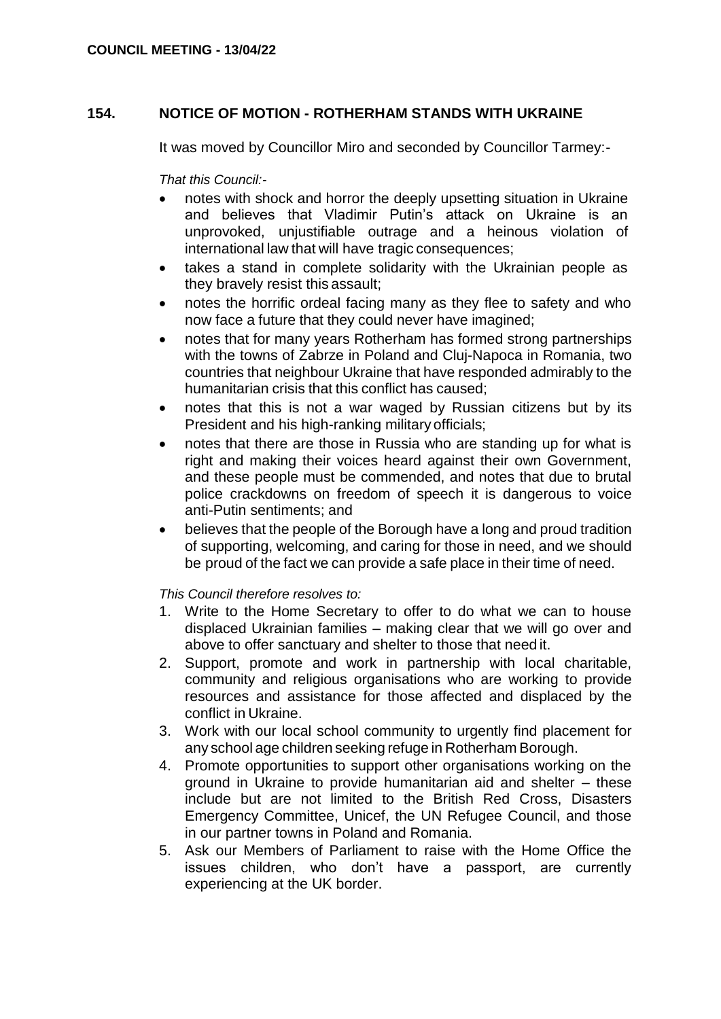## **154. NOTICE OF MOTION - ROTHERHAM STANDS WITH UKRAINE**

It was moved by Councillor Miro and seconded by Councillor Tarmey:-

*That this Council:-*

- notes with shock and horror the deeply upsetting situation in Ukraine and believes that Vladimir Putin's attack on Ukraine is an unprovoked, unjustifiable outrage and a heinous violation of international law that will have tragic consequences;
- takes a stand in complete solidarity with the Ukrainian people as they bravely resist this assault;
- notes the horrific ordeal facing many as they flee to safety and who now face a future that they could never have imagined;
- notes that for many years Rotherham has formed strong partnerships with the towns of Zabrze in Poland and Cluj-Napoca in Romania, two countries that neighbour Ukraine that have responded admirably to the humanitarian crisis that this conflict has caused;
- notes that this is not a war waged by Russian citizens but by its President and his high-ranking militaryofficials;
- notes that there are those in Russia who are standing up for what is right and making their voices heard against their own Government, and these people must be commended, and notes that due to brutal police crackdowns on freedom of speech it is dangerous to voice anti-Putin sentiments; and
- believes that the people of the Borough have a long and proud tradition of supporting, welcoming, and caring for those in need, and we should be proud of the fact we can provide a safe place in their time of need.

*This Council therefore resolves to:*

- 1. Write to the Home Secretary to offer to do what we can to house displaced Ukrainian families – making clear that we will go over and above to offer sanctuary and shelter to those that need it.
- 2. Support, promote and work in partnership with local charitable, community and religious organisations who are working to provide resources and assistance for those affected and displaced by the conflict in Ukraine.
- 3. Work with our local school community to urgently find placement for any school age children seeking refuge in Rotherham Borough.
- 4. Promote opportunities to support other organisations working on the ground in Ukraine to provide humanitarian aid and shelter – these include but are not limited to the British Red Cross, Disasters Emergency Committee, Unicef, the UN Refugee Council, and those in our partner towns in Poland and Romania.
- 5. Ask our Members of Parliament to raise with the Home Office the issues children, who don't have a passport, are currently experiencing at the UK border.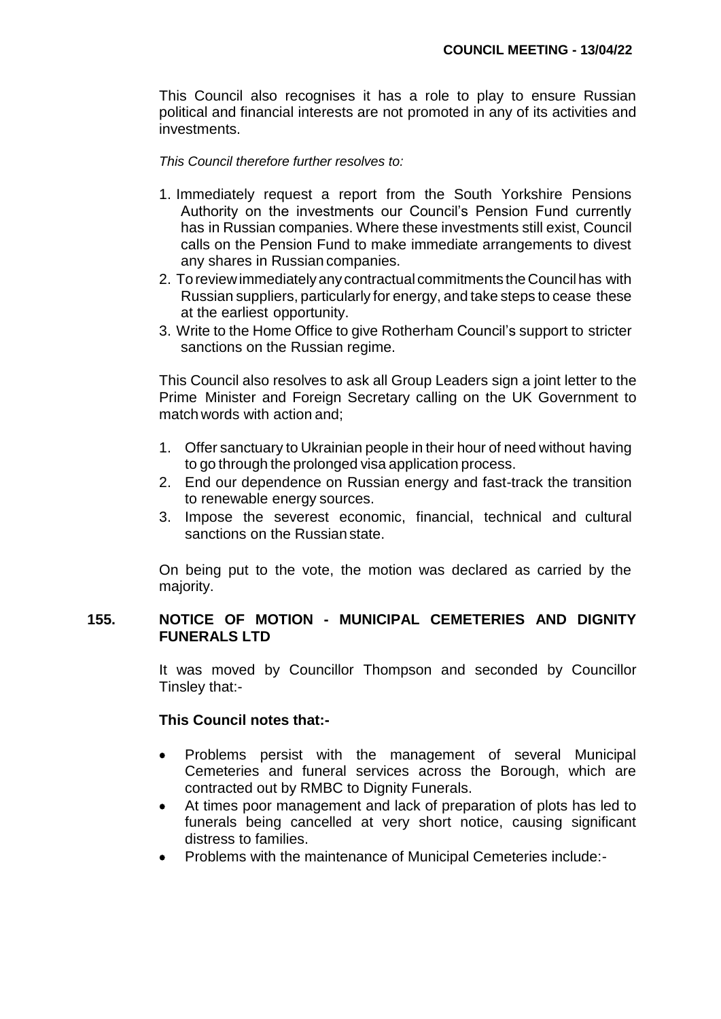This Council also recognises it has a role to play to ensure Russian political and financial interests are not promoted in any of its activities and investments.

#### *This Council therefore further resolves to:*

- 1. Immediately request a report from the South Yorkshire Pensions Authority on the investments our Council's Pension Fund currently has in Russian companies. Where these investments still exist, Council calls on the Pension Fund to make immediate arrangements to divest any shares in Russian companies.
- 2. Toreviewimmediatelyany contractual commitments theCouncil has with Russian suppliers, particularly for energy, and take steps to cease these at the earliest opportunity.
- 3. Write to the Home Office to give Rotherham Council's support to stricter sanctions on the Russian regime.

This Council also resolves to ask all Group Leaders sign a joint letter to the Prime Minister and Foreign Secretary calling on the UK Government to match words with action and;

- 1. Offer sanctuary to Ukrainian people in their hour of need without having to go through the prolonged visa application process.
- 2. End our dependence on Russian energy and fast-track the transition to renewable energy sources.
- 3. Impose the severest economic, financial, technical and cultural sanctions on the Russian state.

On being put to the vote, the motion was declared as carried by the majority.

## **155. NOTICE OF MOTION - MUNICIPAL CEMETERIES AND DIGNITY FUNERALS LTD**

It was moved by Councillor Thompson and seconded by Councillor Tinsley that:-

## **This Council notes that:-**

- Problems persist with the management of several Municipal Cemeteries and funeral services across the Borough, which are contracted out by RMBC to Dignity Funerals.
- At times poor management and lack of preparation of plots has led to funerals being cancelled at very short notice, causing significant distress to families.
- Problems with the maintenance of Municipal Cemeteries include:-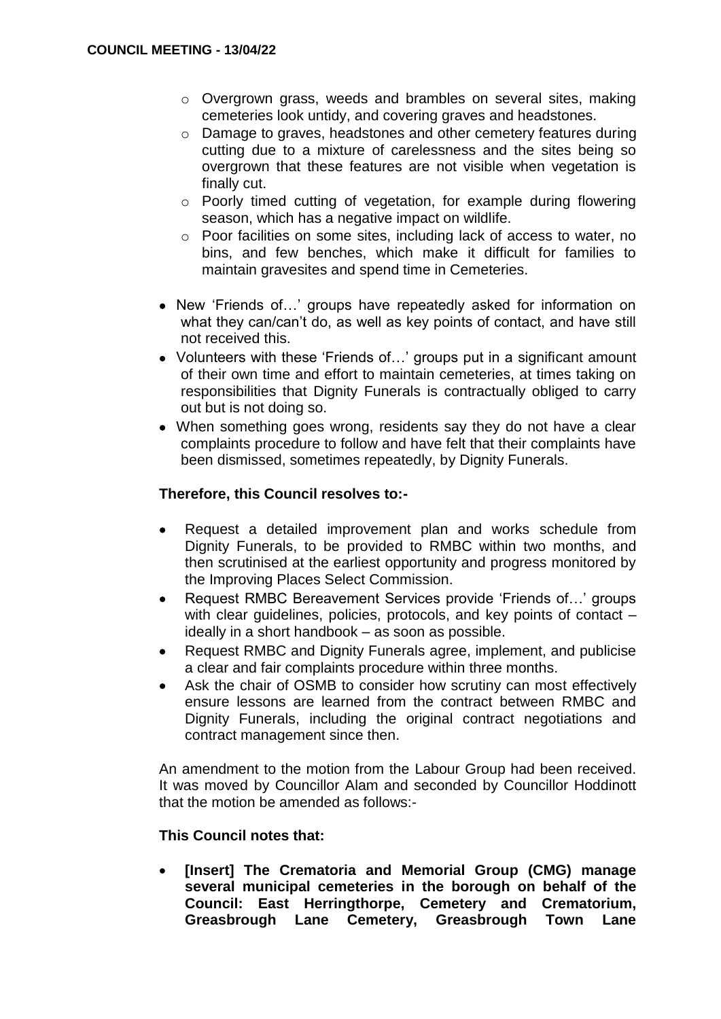- o Overgrown grass, weeds and brambles on several sites, making cemeteries look untidy, and covering graves and headstones.
- o Damage to graves, headstones and other cemetery features during cutting due to a mixture of carelessness and the sites being so overgrown that these features are not visible when vegetation is finally cut.
- o Poorly timed cutting of vegetation, for example during flowering season, which has a negative impact on wildlife.
- o Poor facilities on some sites, including lack of access to water, no bins, and few benches, which make it difficult for families to maintain gravesites and spend time in Cemeteries.
- New 'Friends of…' groups have repeatedly asked for information on what they can/can't do, as well as key points of contact, and have still not received this.
- Volunteers with these 'Friends of…' groups put in a significant amount of their own time and effort to maintain cemeteries, at times taking on responsibilities that Dignity Funerals is contractually obliged to carry out but is not doing so.
- When something goes wrong, residents say they do not have a clear complaints procedure to follow and have felt that their complaints have been dismissed, sometimes repeatedly, by Dignity Funerals.

## **Therefore, this Council resolves to:-**

- Request a detailed improvement plan and works schedule from Dignity Funerals, to be provided to RMBC within two months, and then scrutinised at the earliest opportunity and progress monitored by the Improving Places Select Commission.
- Request RMBC Bereavement Services provide 'Friends of…' groups with clear guidelines, policies, protocols, and key points of contact ideally in a short handbook – as soon as possible.
- Request RMBC and Dignity Funerals agree, implement, and publicise a clear and fair complaints procedure within three months.
- Ask the chair of OSMB to consider how scrutiny can most effectively ensure lessons are learned from the contract between RMBC and Dignity Funerals, including the original contract negotiations and contract management since then.

An amendment to the motion from the Labour Group had been received. It was moved by Councillor Alam and seconded by Councillor Hoddinott that the motion be amended as follows:-

## **This Council notes that:**

 **[Insert] The Crematoria and Memorial Group (CMG) manage several municipal cemeteries in the borough on behalf of the Council: East Herringthorpe, Cemetery and Crematorium, Greasbrough Lane Cemetery, Greasbrough Town Lane**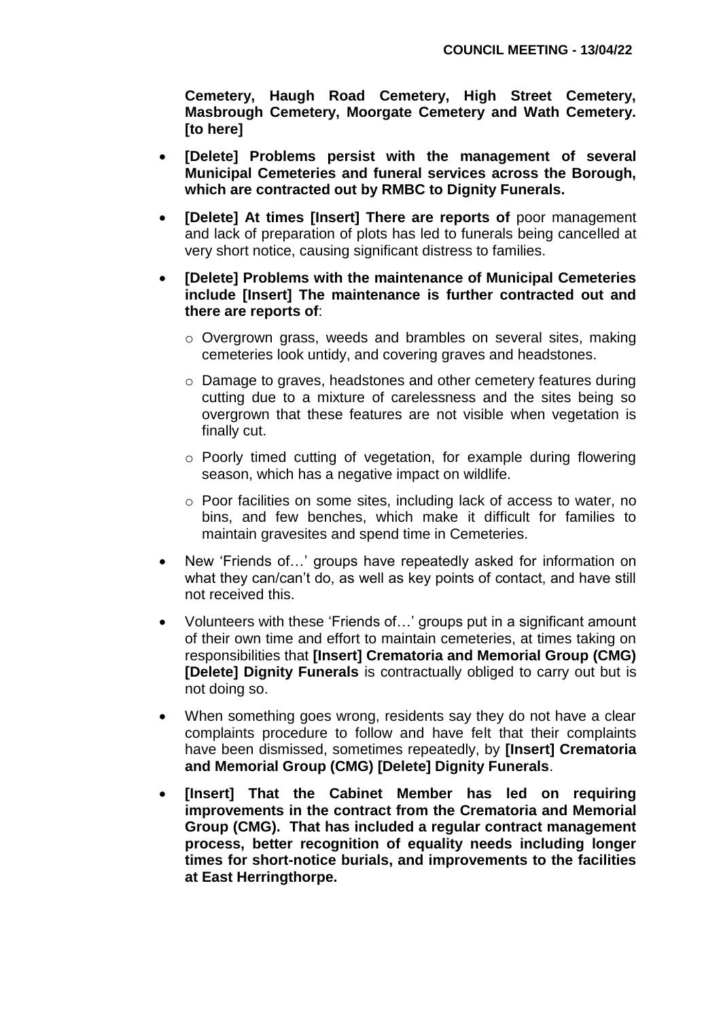**Cemetery, Haugh Road Cemetery, High Street Cemetery, Masbrough Cemetery, Moorgate Cemetery and Wath Cemetery. [to here]**

- **[Delete] Problems persist with the management of several Municipal Cemeteries and funeral services across the Borough, which are contracted out by RMBC to Dignity Funerals.**
- **[Delete] At times [Insert] There are reports of** poor management and lack of preparation of plots has led to funerals being cancelled at very short notice, causing significant distress to families.
- **[Delete] Problems with the maintenance of Municipal Cemeteries include [Insert] The maintenance is further contracted out and there are reports of**:
	- o Overgrown grass, weeds and brambles on several sites, making cemeteries look untidy, and covering graves and headstones.
	- o Damage to graves, headstones and other cemetery features during cutting due to a mixture of carelessness and the sites being so overgrown that these features are not visible when vegetation is finally cut.
	- o Poorly timed cutting of vegetation, for example during flowering season, which has a negative impact on wildlife.
	- o Poor facilities on some sites, including lack of access to water, no bins, and few benches, which make it difficult for families to maintain gravesites and spend time in Cemeteries.
- New 'Friends of…' groups have repeatedly asked for information on what they can/can't do, as well as key points of contact, and have still not received this.
- Volunteers with these 'Friends of…' groups put in a significant amount of their own time and effort to maintain cemeteries, at times taking on responsibilities that **[Insert] Crematoria and Memorial Group (CMG) [Delete] Dignity Funerals** is contractually obliged to carry out but is not doing so.
- When something goes wrong, residents say they do not have a clear complaints procedure to follow and have felt that their complaints have been dismissed, sometimes repeatedly, by **[Insert] Crematoria and Memorial Group (CMG) [Delete] Dignity Funerals**.
- **[Insert] That the Cabinet Member has led on requiring improvements in the contract from the Crematoria and Memorial Group (CMG). That has included a regular contract management process, better recognition of equality needs including longer times for short-notice burials, and improvements to the facilities at East Herringthorpe.**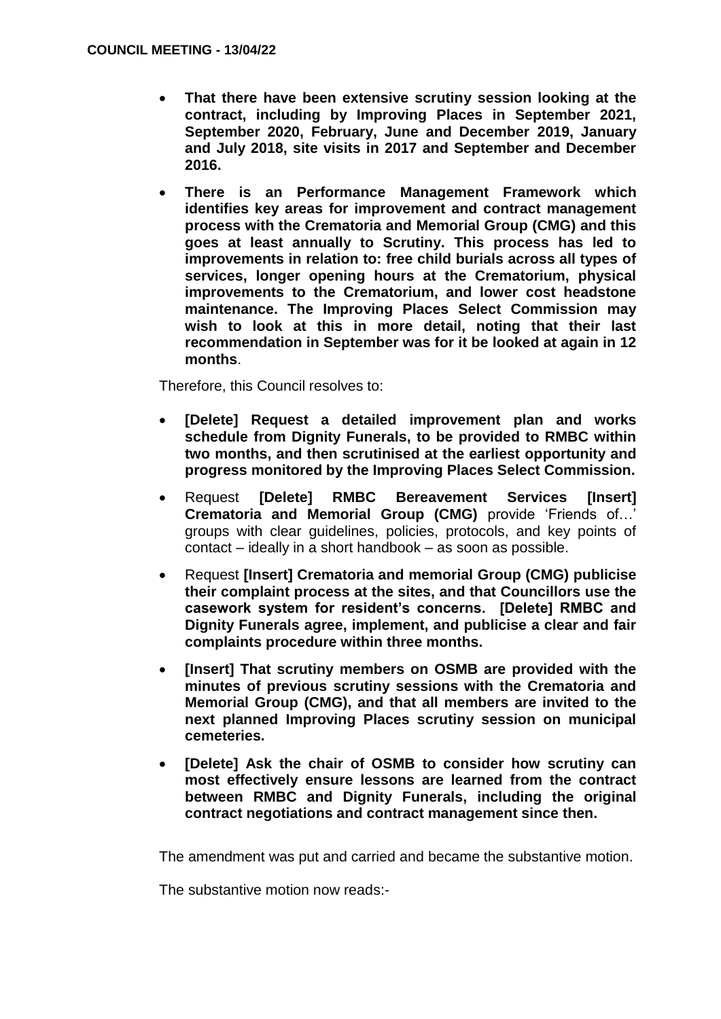- **That there have been extensive scrutiny session looking at the contract, including by Improving Places in September 2021, September 2020, February, June and December 2019, January and July 2018, site visits in 2017 and September and December 2016.**
- **There is an Performance Management Framework which identifies key areas for improvement and contract management process with the Crematoria and Memorial Group (CMG) and this goes at least annually to Scrutiny. This process has led to improvements in relation to: free child burials across all types of services, longer opening hours at the Crematorium, physical improvements to the Crematorium, and lower cost headstone maintenance. The Improving Places Select Commission may wish to look at this in more detail, noting that their last recommendation in September was for it be looked at again in 12 months**.

Therefore, this Council resolves to:

- **[Delete] Request a detailed improvement plan and works schedule from Dignity Funerals, to be provided to RMBC within two months, and then scrutinised at the earliest opportunity and progress monitored by the Improving Places Select Commission.**
- Request **[Delete] RMBC Bereavement Services [Insert] Crematoria and Memorial Group (CMG)** provide 'Friends of…' groups with clear guidelines, policies, protocols, and key points of contact – ideally in a short handbook – as soon as possible.
- Request **[Insert] Crematoria and memorial Group (CMG) publicise their complaint process at the sites, and that Councillors use the casework system for resident's concerns. [Delete] RMBC and Dignity Funerals agree, implement, and publicise a clear and fair complaints procedure within three months.**
- **[Insert] That scrutiny members on OSMB are provided with the minutes of previous scrutiny sessions with the Crematoria and Memorial Group (CMG), and that all members are invited to the next planned Improving Places scrutiny session on municipal cemeteries.**
- **[Delete] Ask the chair of OSMB to consider how scrutiny can most effectively ensure lessons are learned from the contract between RMBC and Dignity Funerals, including the original contract negotiations and contract management since then.**

The amendment was put and carried and became the substantive motion.

The substantive motion now reads:-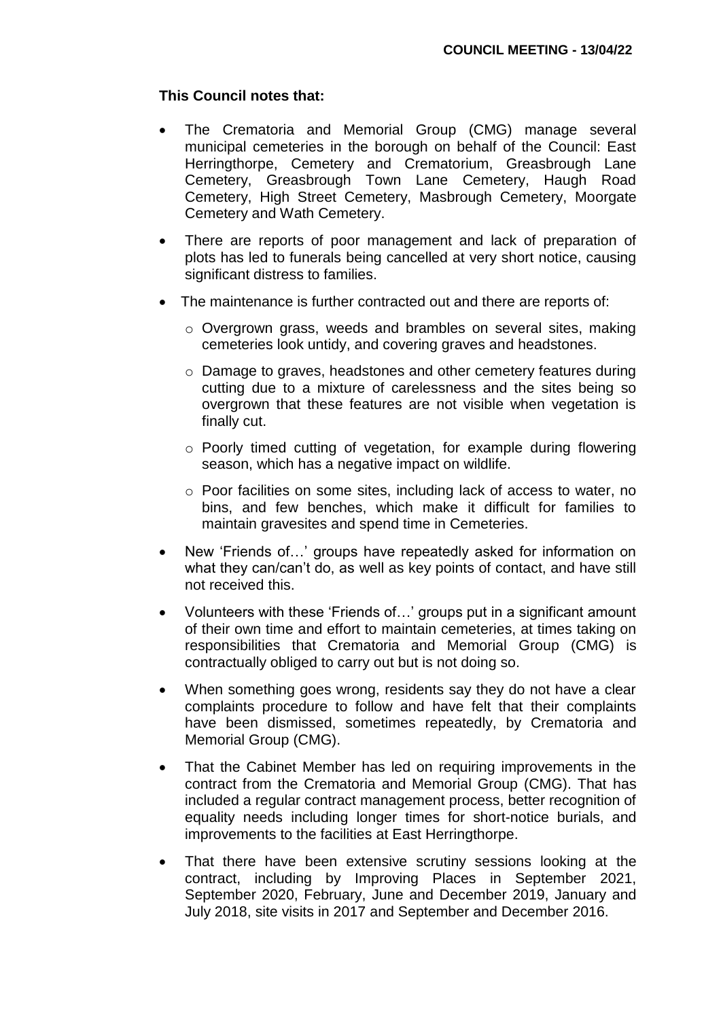### **This Council notes that:**

- The Crematoria and Memorial Group (CMG) manage several municipal cemeteries in the borough on behalf of the Council: East Herringthorpe, Cemetery and Crematorium, Greasbrough Lane Cemetery, Greasbrough Town Lane Cemetery, Haugh Road Cemetery, High Street Cemetery, Masbrough Cemetery, Moorgate Cemetery and Wath Cemetery.
- There are reports of poor management and lack of preparation of plots has led to funerals being cancelled at very short notice, causing significant distress to families.
- The maintenance is further contracted out and there are reports of:
	- o Overgrown grass, weeds and brambles on several sites, making cemeteries look untidy, and covering graves and headstones.
	- o Damage to graves, headstones and other cemetery features during cutting due to a mixture of carelessness and the sites being so overgrown that these features are not visible when vegetation is finally cut.
	- o Poorly timed cutting of vegetation, for example during flowering season, which has a negative impact on wildlife.
	- o Poor facilities on some sites, including lack of access to water, no bins, and few benches, which make it difficult for families to maintain gravesites and spend time in Cemeteries.
- New 'Friends of…' groups have repeatedly asked for information on what they can/can't do, as well as key points of contact, and have still not received this.
- Volunteers with these 'Friends of…' groups put in a significant amount of their own time and effort to maintain cemeteries, at times taking on responsibilities that Crematoria and Memorial Group (CMG) is contractually obliged to carry out but is not doing so.
- When something goes wrong, residents say they do not have a clear complaints procedure to follow and have felt that their complaints have been dismissed, sometimes repeatedly, by Crematoria and Memorial Group (CMG).
- That the Cabinet Member has led on requiring improvements in the contract from the Crematoria and Memorial Group (CMG). That has included a regular contract management process, better recognition of equality needs including longer times for short-notice burials, and improvements to the facilities at East Herringthorpe.
- That there have been extensive scrutiny sessions looking at the contract, including by Improving Places in September 2021, September 2020, February, June and December 2019, January and July 2018, site visits in 2017 and September and December 2016.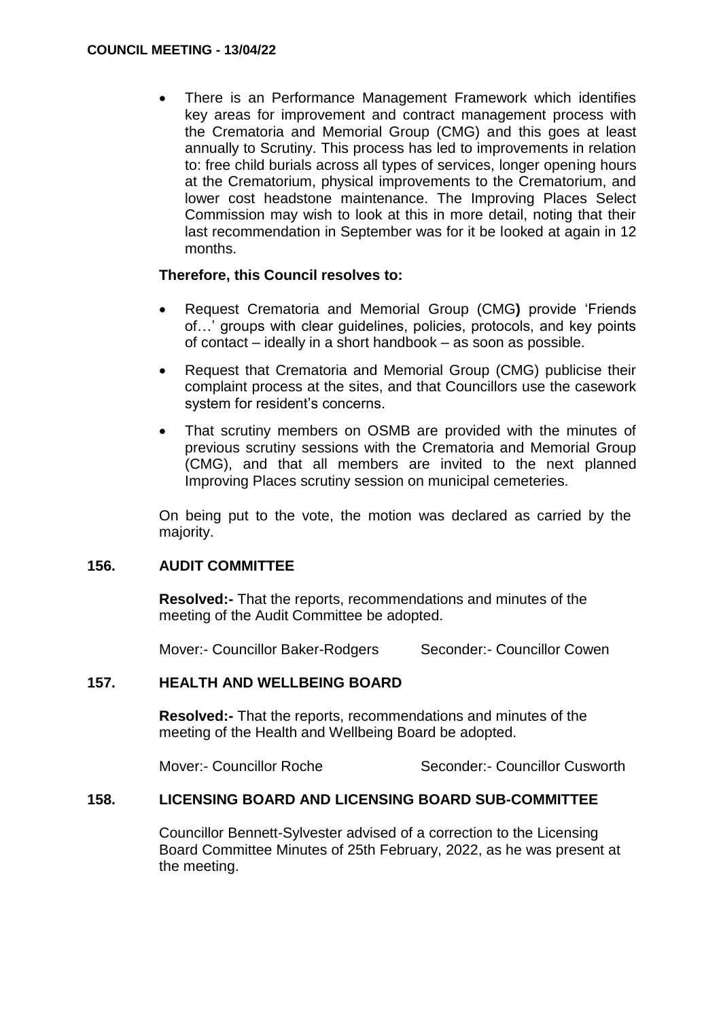There is an Performance Management Framework which identifies key areas for improvement and contract management process with the Crematoria and Memorial Group (CMG) and this goes at least annually to Scrutiny. This process has led to improvements in relation to: free child burials across all types of services, longer opening hours at the Crematorium, physical improvements to the Crematorium, and lower cost headstone maintenance. The Improving Places Select Commission may wish to look at this in more detail, noting that their last recommendation in September was for it be looked at again in 12 months.

## **Therefore, this Council resolves to:**

- Request Crematoria and Memorial Group (CMG**)** provide 'Friends of…' groups with clear guidelines, policies, protocols, and key points of contact – ideally in a short handbook – as soon as possible.
- Request that Crematoria and Memorial Group (CMG) publicise their complaint process at the sites, and that Councillors use the casework system for resident's concerns.
- That scrutiny members on OSMB are provided with the minutes of previous scrutiny sessions with the Crematoria and Memorial Group (CMG), and that all members are invited to the next planned Improving Places scrutiny session on municipal cemeteries.

On being put to the vote, the motion was declared as carried by the majority.

## **156. AUDIT COMMITTEE**

**Resolved:-** That the reports, recommendations and minutes of the meeting of the Audit Committee be adopted.

Mover:- Councillor Baker-Rodgers Seconder:- Councillor Cowen

## **157. HEALTH AND WELLBEING BOARD**

**Resolved:-** That the reports, recommendations and minutes of the meeting of the Health and Wellbeing Board be adopted.

Mover:- Councillor Roche Seconder:- Councillor Cusworth

## **158. LICENSING BOARD AND LICENSING BOARD SUB-COMMITTEE**

Councillor Bennett-Sylvester advised of a correction to the Licensing Board Committee Minutes of 25th February, 2022, as he was present at the meeting.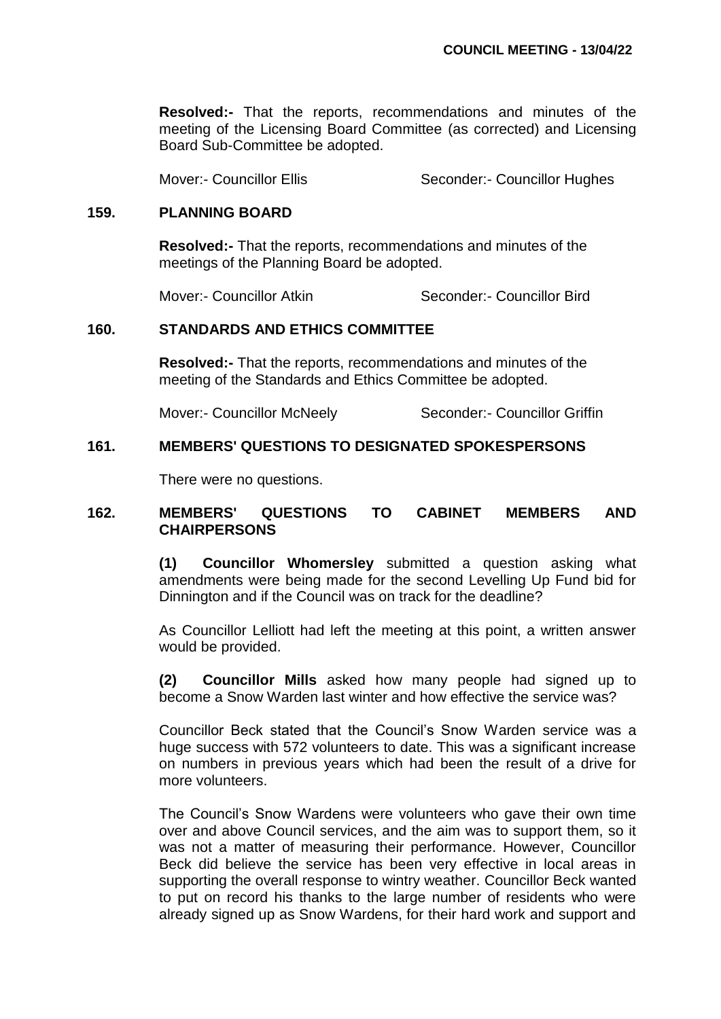**Resolved:-** That the reports, recommendations and minutes of the meeting of the Licensing Board Committee (as corrected) and Licensing Board Sub-Committee be adopted.

Mover:- Councillor Ellis Seconder:- Councillor Hughes

### **159. PLANNING BOARD**

**Resolved:-** That the reports, recommendations and minutes of the meetings of the Planning Board be adopted.

Mover:- Councillor Atkin Seconder:- Councillor Bird

## **160. STANDARDS AND ETHICS COMMITTEE**

**Resolved:-** That the reports, recommendations and minutes of the meeting of the Standards and Ethics Committee be adopted.

Mover:- Councillor McNeely Seconder:- Councillor Griffin

### **161. MEMBERS' QUESTIONS TO DESIGNATED SPOKESPERSONS**

There were no questions.

## **162. MEMBERS' QUESTIONS TO CABINET MEMBERS AND CHAIRPERSONS**

**(1) Councillor Whomersley** submitted a question asking what amendments were being made for the second Levelling Up Fund bid for Dinnington and if the Council was on track for the deadline?

As Councillor Lelliott had left the meeting at this point, a written answer would be provided.

**(2) Councillor Mills** asked how many people had signed up to become a Snow Warden last winter and how effective the service was?

Councillor Beck stated that the Council's Snow Warden service was a huge success with 572 volunteers to date. This was a significant increase on numbers in previous years which had been the result of a drive for more volunteers.

The Council's Snow Wardens were volunteers who gave their own time over and above Council services, and the aim was to support them, so it was not a matter of measuring their performance. However, Councillor Beck did believe the service has been very effective in local areas in supporting the overall response to wintry weather. Councillor Beck wanted to put on record his thanks to the large number of residents who were already signed up as Snow Wardens, for their hard work and support and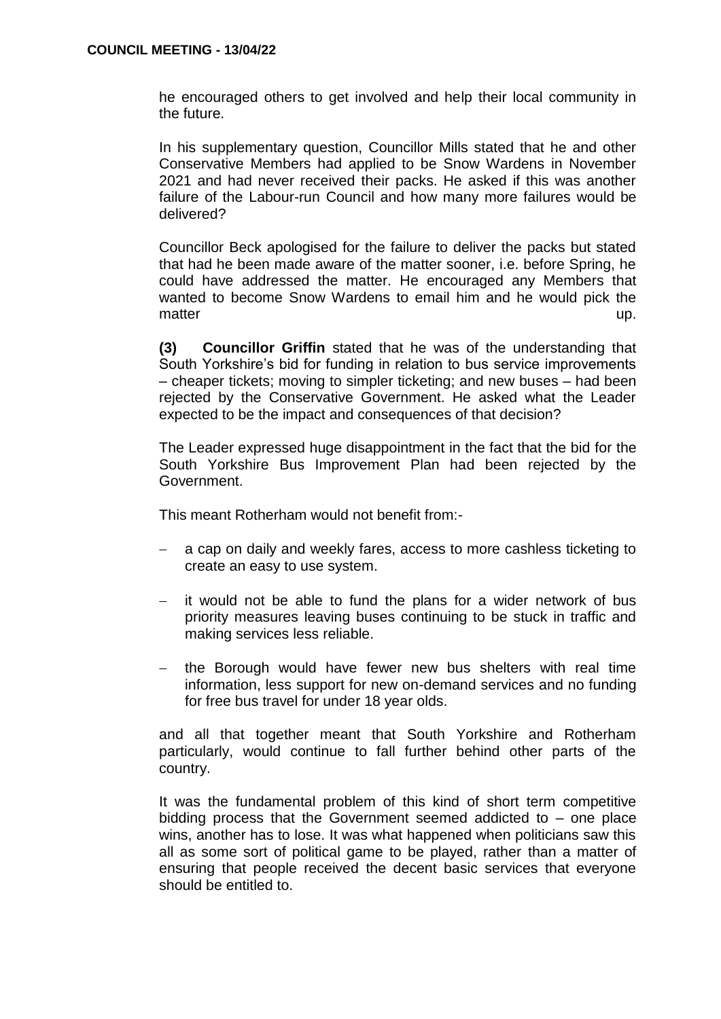he encouraged others to get involved and help their local community in the future.

In his supplementary question, Councillor Mills stated that he and other Conservative Members had applied to be Snow Wardens in November 2021 and had never received their packs. He asked if this was another failure of the Labour-run Council and how many more failures would be delivered?

Councillor Beck apologised for the failure to deliver the packs but stated that had he been made aware of the matter sooner, i.e. before Spring, he could have addressed the matter. He encouraged any Members that wanted to become Snow Wardens to email him and he would pick the matter up. The contract of the contract of the contract of the contract of the contract of the contract of the contract of the contract of the contract of the contract of the contract of the contract of the contract of the

**(3) Councillor Griffin** stated that he was of the understanding that South Yorkshire's bid for funding in relation to bus service improvements – cheaper tickets; moving to simpler ticketing; and new buses – had been rejected by the Conservative Government. He asked what the Leader expected to be the impact and consequences of that decision?

The Leader expressed huge disappointment in the fact that the bid for the South Yorkshire Bus Improvement Plan had been rejected by the Government.

This meant Rotherham would not benefit from:-

- a cap on daily and weekly fares, access to more cashless ticketing to create an easy to use system.
- $-$  it would not be able to fund the plans for a wider network of bus priority measures leaving buses continuing to be stuck in traffic and making services less reliable.
- the Borough would have fewer new bus shelters with real time information, less support for new on-demand services and no funding for free bus travel for under 18 year olds.

and all that together meant that South Yorkshire and Rotherham particularly, would continue to fall further behind other parts of the country.

It was the fundamental problem of this kind of short term competitive bidding process that the Government seemed addicted to – one place wins, another has to lose. It was what happened when politicians saw this all as some sort of political game to be played, rather than a matter of ensuring that people received the decent basic services that everyone should be entitled to.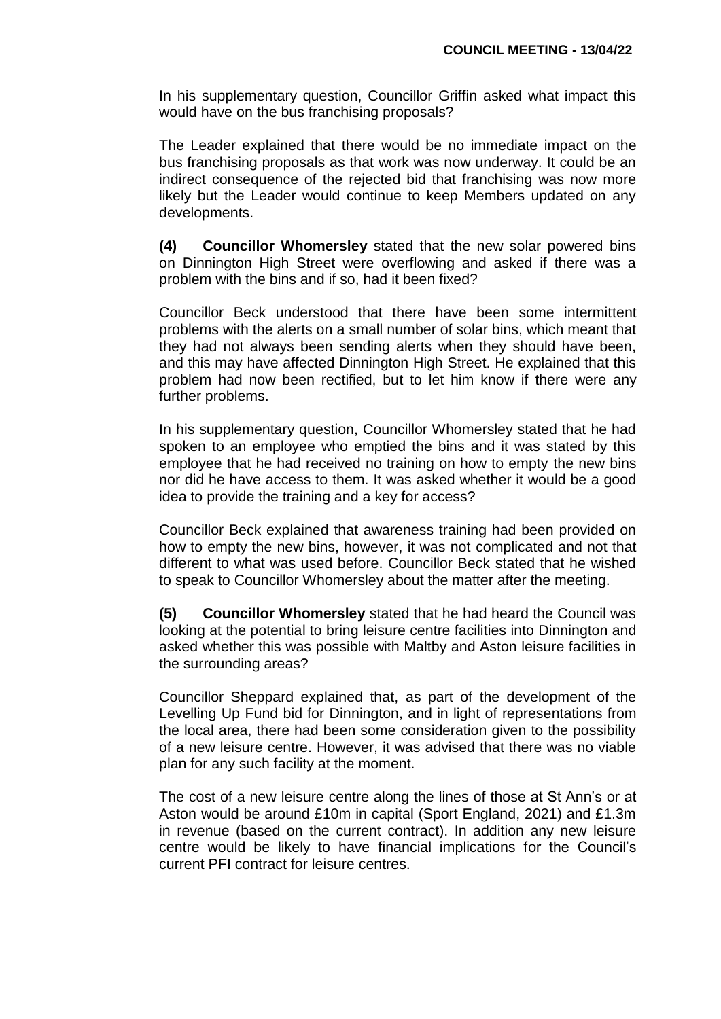In his supplementary question, Councillor Griffin asked what impact this would have on the bus franchising proposals?

The Leader explained that there would be no immediate impact on the bus franchising proposals as that work was now underway. It could be an indirect consequence of the rejected bid that franchising was now more likely but the Leader would continue to keep Members updated on any developments.

**(4) Councillor Whomersley** stated that the new solar powered bins on Dinnington High Street were overflowing and asked if there was a problem with the bins and if so, had it been fixed?

Councillor Beck understood that there have been some intermittent problems with the alerts on a small number of solar bins, which meant that they had not always been sending alerts when they should have been, and this may have affected Dinnington High Street. He explained that this problem had now been rectified, but to let him know if there were any further problems.

In his supplementary question, Councillor Whomersley stated that he had spoken to an employee who emptied the bins and it was stated by this employee that he had received no training on how to empty the new bins nor did he have access to them. It was asked whether it would be a good idea to provide the training and a key for access?

Councillor Beck explained that awareness training had been provided on how to empty the new bins, however, it was not complicated and not that different to what was used before. Councillor Beck stated that he wished to speak to Councillor Whomersley about the matter after the meeting.

**(5) Councillor Whomersley** stated that he had heard the Council was looking at the potential to bring leisure centre facilities into Dinnington and asked whether this was possible with Maltby and Aston leisure facilities in the surrounding areas?

Councillor Sheppard explained that, as part of the development of the Levelling Up Fund bid for Dinnington, and in light of representations from the local area, there had been some consideration given to the possibility of a new leisure centre. However, it was advised that there was no viable plan for any such facility at the moment.

The cost of a new leisure centre along the lines of those at St Ann's or at Aston would be around £10m in capital (Sport England, 2021) and £1.3m in revenue (based on the current contract). In addition any new leisure centre would be likely to have financial implications for the Council's current PFI contract for leisure centres.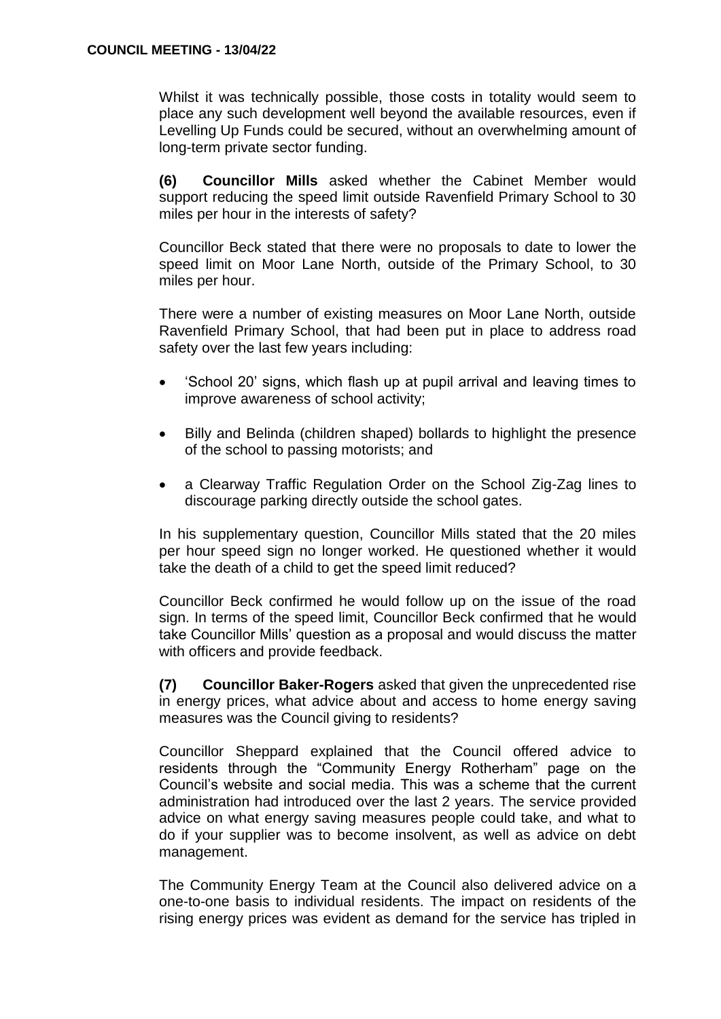Whilst it was technically possible, those costs in totality would seem to place any such development well beyond the available resources, even if Levelling Up Funds could be secured, without an overwhelming amount of long-term private sector funding.

**(6) Councillor Mills** asked whether the Cabinet Member would support reducing the speed limit outside Ravenfield Primary School to 30 miles per hour in the interests of safety?

Councillor Beck stated that there were no proposals to date to lower the speed limit on Moor Lane North, outside of the Primary School, to 30 miles per hour.

There were a number of existing measures on Moor Lane North, outside Ravenfield Primary School, that had been put in place to address road safety over the last few years including:

- 'School 20' signs, which flash up at pupil arrival and leaving times to improve awareness of school activity;
- Billy and Belinda (children shaped) bollards to highlight the presence of the school to passing motorists; and
- a Clearway Traffic Regulation Order on the School Zig-Zag lines to discourage parking directly outside the school gates.

In his supplementary question, Councillor Mills stated that the 20 miles per hour speed sign no longer worked. He questioned whether it would take the death of a child to get the speed limit reduced?

Councillor Beck confirmed he would follow up on the issue of the road sign. In terms of the speed limit, Councillor Beck confirmed that he would take Councillor Mills' question as a proposal and would discuss the matter with officers and provide feedback.

**(7) Councillor Baker-Rogers** asked that given the unprecedented rise in energy prices, what advice about and access to home energy saving measures was the Council giving to residents?

Councillor Sheppard explained that the Council offered advice to residents through the "Community Energy Rotherham" page on the Council's website and social media. This was a scheme that the current administration had introduced over the last 2 years. The service provided advice on what energy saving measures people could take, and what to do if your supplier was to become insolvent, as well as advice on debt management.

The Community Energy Team at the Council also delivered advice on a one-to-one basis to individual residents. The impact on residents of the rising energy prices was evident as demand for the service has tripled in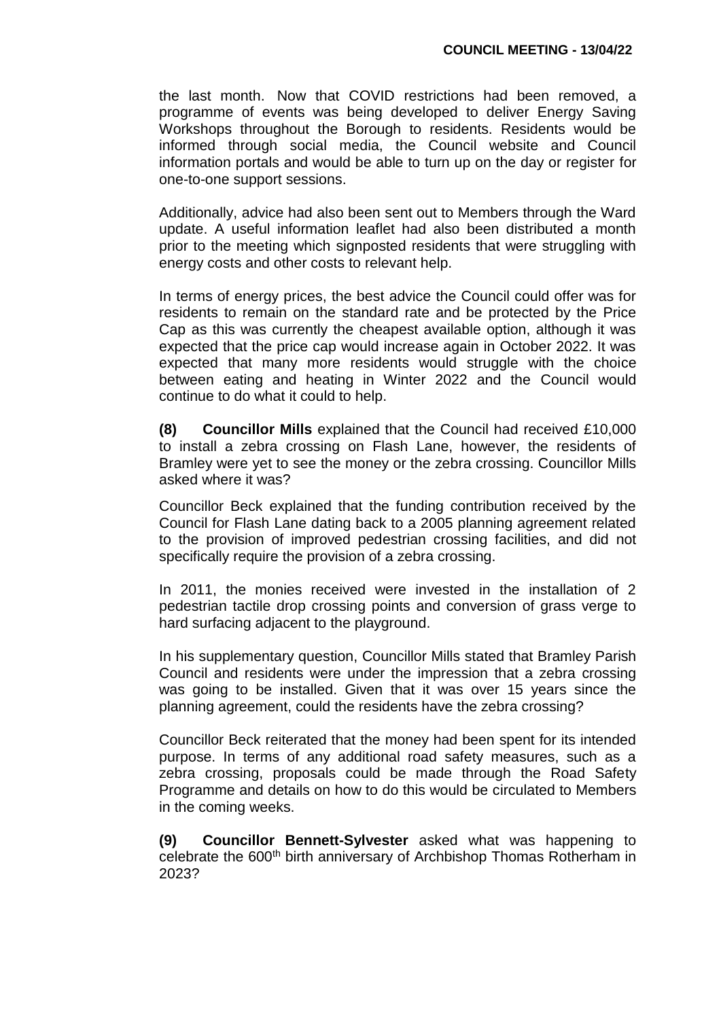the last month. Now that COVID restrictions had been removed, a programme of events was being developed to deliver Energy Saving Workshops throughout the Borough to residents. Residents would be informed through social media, the Council website and Council information portals and would be able to turn up on the day or register for one-to-one support sessions.

Additionally, advice had also been sent out to Members through the Ward update. A useful information leaflet had also been distributed a month prior to the meeting which signposted residents that were struggling with energy costs and other costs to relevant help.

In terms of energy prices, the best advice the Council could offer was for residents to remain on the standard rate and be protected by the Price Cap as this was currently the cheapest available option, although it was expected that the price cap would increase again in October 2022. It was expected that many more residents would struggle with the choice between eating and heating in Winter 2022 and the Council would continue to do what it could to help.

**(8) Councillor Mills** explained that the Council had received £10,000 to install a zebra crossing on Flash Lane, however, the residents of Bramley were yet to see the money or the zebra crossing. Councillor Mills asked where it was?

Councillor Beck explained that the funding contribution received by the Council for Flash Lane dating back to a 2005 planning agreement related to the provision of improved pedestrian crossing facilities, and did not specifically require the provision of a zebra crossing.

In 2011, the monies received were invested in the installation of 2 pedestrian tactile drop crossing points and conversion of grass verge to hard surfacing adjacent to the playground.

In his supplementary question, Councillor Mills stated that Bramley Parish Council and residents were under the impression that a zebra crossing was going to be installed. Given that it was over 15 years since the planning agreement, could the residents have the zebra crossing?

Councillor Beck reiterated that the money had been spent for its intended purpose. In terms of any additional road safety measures, such as a zebra crossing, proposals could be made through the Road Safety Programme and details on how to do this would be circulated to Members in the coming weeks.

**(9) Councillor Bennett-Sylvester** asked what was happening to celebrate the 600<sup>th</sup> birth anniversary of Archbishop Thomas Rotherham in 2023?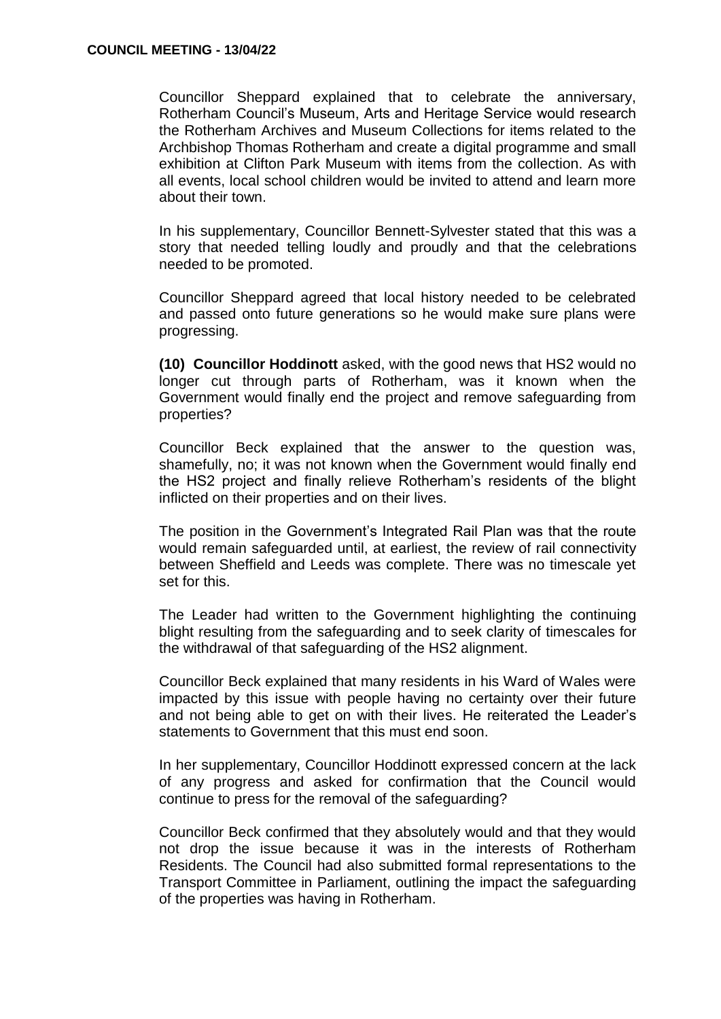Councillor Sheppard explained that to celebrate the anniversary, Rotherham Council's Museum, Arts and Heritage Service would research the Rotherham Archives and Museum Collections for items related to the Archbishop Thomas Rotherham and create a digital programme and small exhibition at Clifton Park Museum with items from the collection. As with all events, local school children would be invited to attend and learn more about their town.

In his supplementary, Councillor Bennett-Sylvester stated that this was a story that needed telling loudly and proudly and that the celebrations needed to be promoted.

Councillor Sheppard agreed that local history needed to be celebrated and passed onto future generations so he would make sure plans were progressing.

**(10) Councillor Hoddinott** asked, with the good news that HS2 would no longer cut through parts of Rotherham, was it known when the Government would finally end the project and remove safeguarding from properties?

Councillor Beck explained that the answer to the question was, shamefully, no; it was not known when the Government would finally end the HS2 project and finally relieve Rotherham's residents of the blight inflicted on their properties and on their lives.

The position in the Government's Integrated Rail Plan was that the route would remain safeguarded until, at earliest, the review of rail connectivity between Sheffield and Leeds was complete. There was no timescale yet set for this.

The Leader had written to the Government highlighting the continuing blight resulting from the safeguarding and to seek clarity of timescales for the withdrawal of that safeguarding of the HS2 alignment.

Councillor Beck explained that many residents in his Ward of Wales were impacted by this issue with people having no certainty over their future and not being able to get on with their lives. He reiterated the Leader's statements to Government that this must end soon.

In her supplementary, Councillor Hoddinott expressed concern at the lack of any progress and asked for confirmation that the Council would continue to press for the removal of the safeguarding?

Councillor Beck confirmed that they absolutely would and that they would not drop the issue because it was in the interests of Rotherham Residents. The Council had also submitted formal representations to the Transport Committee in Parliament, outlining the impact the safeguarding of the properties was having in Rotherham.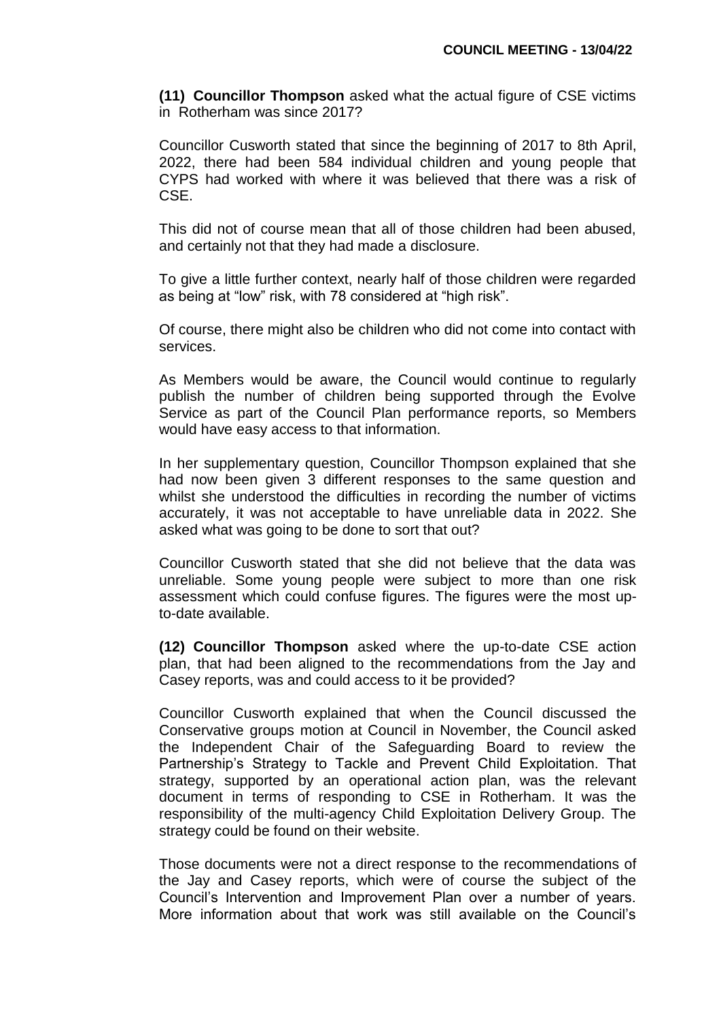**(11) Councillor Thompson** asked what the actual figure of CSE victims in Rotherham was since 2017?

Councillor Cusworth stated that since the beginning of 2017 to 8th April, 2022, there had been 584 individual children and young people that CYPS had worked with where it was believed that there was a risk of CSE.

This did not of course mean that all of those children had been abused, and certainly not that they had made a disclosure.

To give a little further context, nearly half of those children were regarded as being at "low" risk, with 78 considered at "high risk".

Of course, there might also be children who did not come into contact with services.

As Members would be aware, the Council would continue to regularly publish the number of children being supported through the Evolve Service as part of the Council Plan performance reports, so Members would have easy access to that information.

In her supplementary question, Councillor Thompson explained that she had now been given 3 different responses to the same question and whilst she understood the difficulties in recording the number of victims accurately, it was not acceptable to have unreliable data in 2022. She asked what was going to be done to sort that out?

Councillor Cusworth stated that she did not believe that the data was unreliable. Some young people were subject to more than one risk assessment which could confuse figures. The figures were the most upto-date available.

**(12) Councillor Thompson** asked where the up-to-date CSE action plan, that had been aligned to the recommendations from the Jay and Casey reports, was and could access to it be provided?

Councillor Cusworth explained that when the Council discussed the Conservative groups motion at Council in November, the Council asked the Independent Chair of the Safeguarding Board to review the Partnership's Strategy to Tackle and Prevent Child Exploitation. That strategy, supported by an operational action plan, was the relevant document in terms of responding to CSE in Rotherham. It was the responsibility of the multi-agency Child Exploitation Delivery Group. The strategy could be found on their website.

Those documents were not a direct response to the recommendations of the Jay and Casey reports, which were of course the subject of the Council's Intervention and Improvement Plan over a number of years. More information about that work was still available on the Council's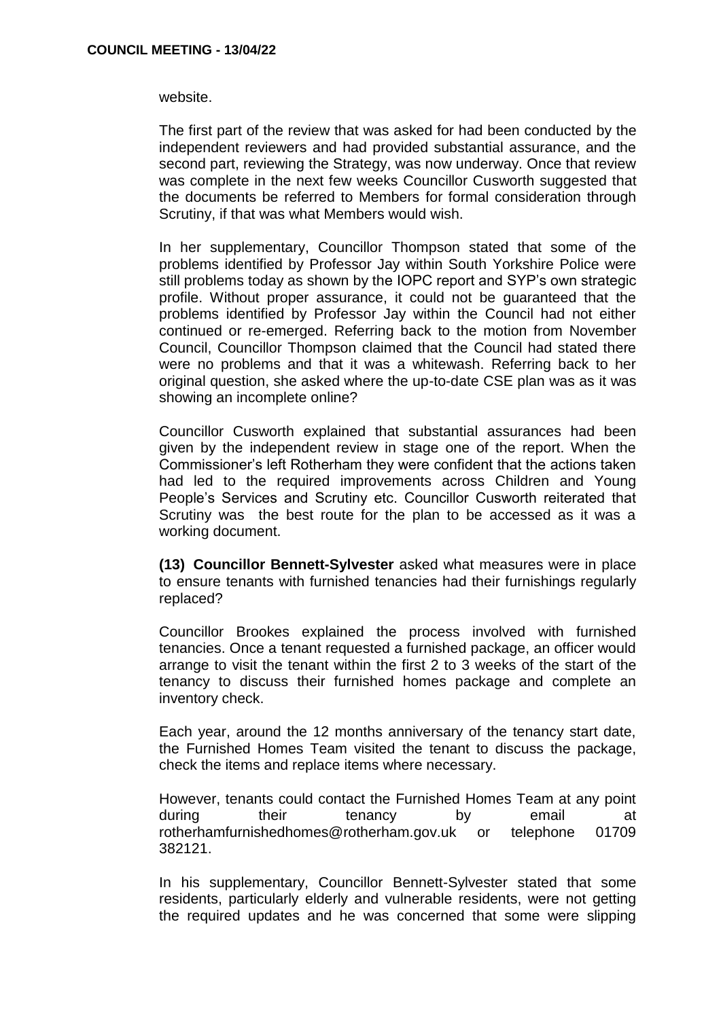website.

The first part of the review that was asked for had been conducted by the independent reviewers and had provided substantial assurance, and the second part, reviewing the Strategy, was now underway. Once that review was complete in the next few weeks Councillor Cusworth suggested that the documents be referred to Members for formal consideration through Scrutiny, if that was what Members would wish.

In her supplementary, Councillor Thompson stated that some of the problems identified by Professor Jay within South Yorkshire Police were still problems today as shown by the IOPC report and SYP's own strategic profile. Without proper assurance, it could not be guaranteed that the problems identified by Professor Jay within the Council had not either continued or re-emerged. Referring back to the motion from November Council, Councillor Thompson claimed that the Council had stated there were no problems and that it was a whitewash. Referring back to her original question, she asked where the up-to-date CSE plan was as it was showing an incomplete online?

Councillor Cusworth explained that substantial assurances had been given by the independent review in stage one of the report. When the Commissioner's left Rotherham they were confident that the actions taken had led to the required improvements across Children and Young People's Services and Scrutiny etc. Councillor Cusworth reiterated that Scrutiny was the best route for the plan to be accessed as it was a working document.

**(13) Councillor Bennett-Sylvester** asked what measures were in place to ensure tenants with furnished tenancies had their furnishings regularly replaced?

Councillor Brookes explained the process involved with furnished tenancies. Once a tenant requested a furnished package, an officer would arrange to visit the tenant within the first 2 to 3 weeks of the start of the tenancy to discuss their furnished homes package and complete an inventory check.

Each year, around the 12 months anniversary of the tenancy start date, the Furnished Homes Team visited the tenant to discuss the package, check the items and replace items where necessary.

However, tenants could contact the Furnished Homes Team at any point during their tenancy by email at rotherhamfurnishedhomes@rotherham.gov.uk or telephone 01709 382121.

In his supplementary, Councillor Bennett-Sylvester stated that some residents, particularly elderly and vulnerable residents, were not getting the required updates and he was concerned that some were slipping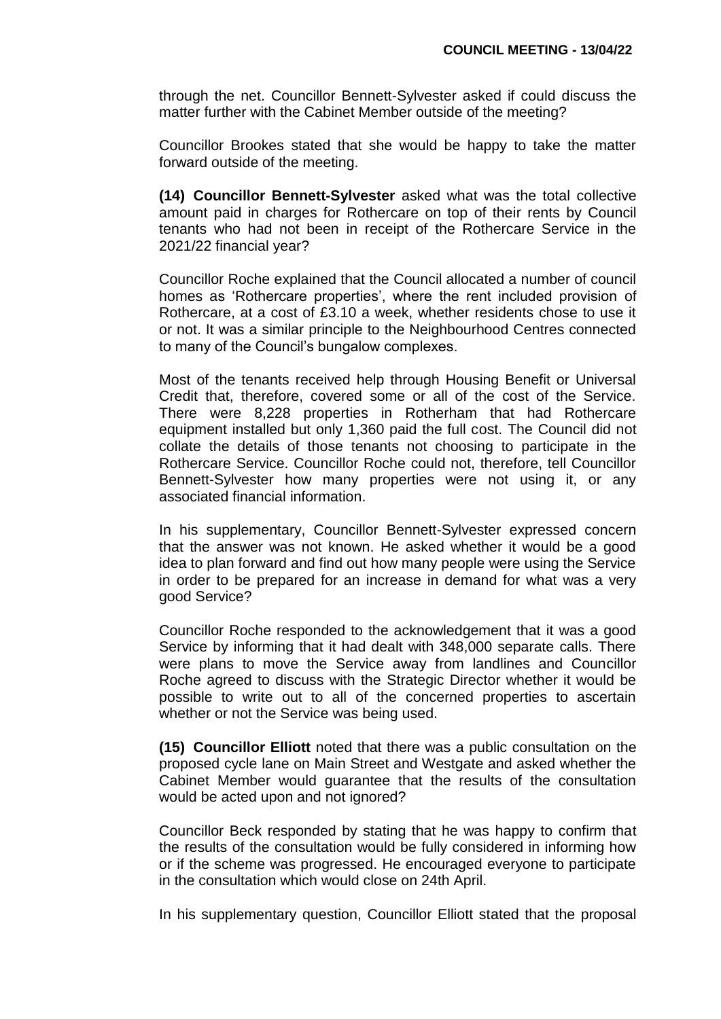through the net. Councillor Bennett-Sylvester asked if could discuss the matter further with the Cabinet Member outside of the meeting?

Councillor Brookes stated that she would be happy to take the matter forward outside of the meeting.

**(14) Councillor Bennett-Sylvester** asked what was the total collective amount paid in charges for Rothercare on top of their rents by Council tenants who had not been in receipt of the Rothercare Service in the 2021/22 financial year?

Councillor Roche explained that the Council allocated a number of council homes as 'Rothercare properties', where the rent included provision of Rothercare, at a cost of £3.10 a week, whether residents chose to use it or not. It was a similar principle to the Neighbourhood Centres connected to many of the Council's bungalow complexes.

Most of the tenants received help through Housing Benefit or Universal Credit that, therefore, covered some or all of the cost of the Service. There were 8,228 properties in Rotherham that had Rothercare equipment installed but only 1,360 paid the full cost. The Council did not collate the details of those tenants not choosing to participate in the Rothercare Service. Councillor Roche could not, therefore, tell Councillor Bennett-Sylvester how many properties were not using it, or any associated financial information.

In his supplementary, Councillor Bennett-Sylvester expressed concern that the answer was not known. He asked whether it would be a good idea to plan forward and find out how many people were using the Service in order to be prepared for an increase in demand for what was a very good Service?

Councillor Roche responded to the acknowledgement that it was a good Service by informing that it had dealt with 348,000 separate calls. There were plans to move the Service away from landlines and Councillor Roche agreed to discuss with the Strategic Director whether it would be possible to write out to all of the concerned properties to ascertain whether or not the Service was being used.

**(15) Councillor Elliott** noted that there was a public consultation on the proposed cycle lane on Main Street and Westgate and asked whether the Cabinet Member would guarantee that the results of the consultation would be acted upon and not ignored?

Councillor Beck responded by stating that he was happy to confirm that the results of the consultation would be fully considered in informing how or if the scheme was progressed. He encouraged everyone to participate in the consultation which would close on 24th April.

In his supplementary question, Councillor Elliott stated that the proposal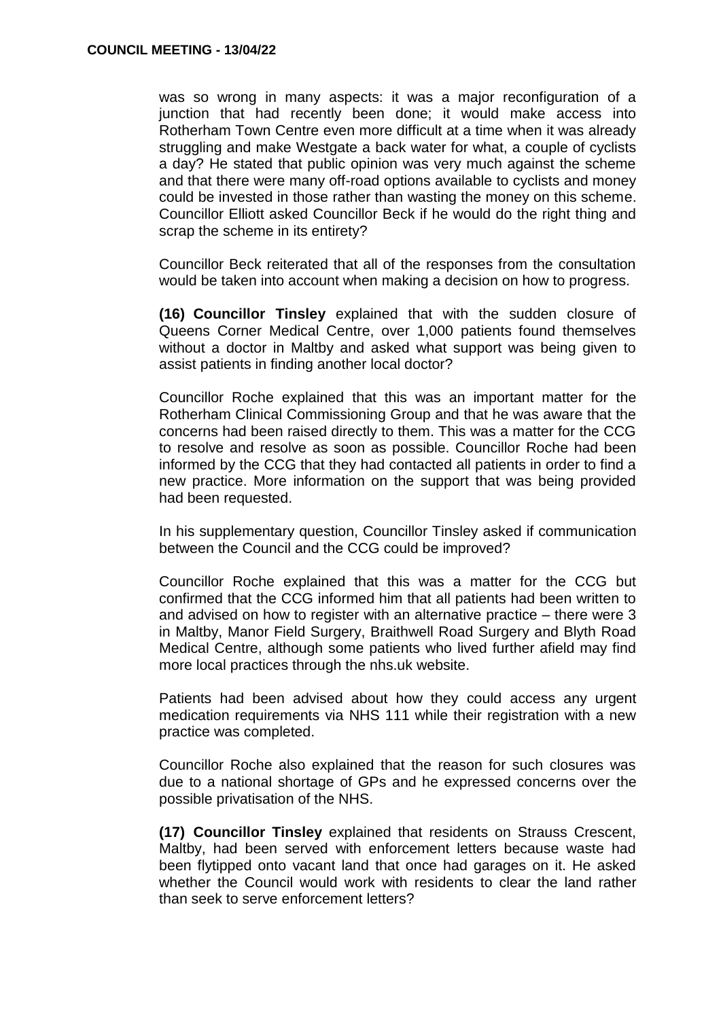was so wrong in many aspects: it was a major reconfiguration of a junction that had recently been done; it would make access into Rotherham Town Centre even more difficult at a time when it was already struggling and make Westgate a back water for what, a couple of cyclists a day? He stated that public opinion was very much against the scheme and that there were many off-road options available to cyclists and money could be invested in those rather than wasting the money on this scheme. Councillor Elliott asked Councillor Beck if he would do the right thing and scrap the scheme in its entirety?

Councillor Beck reiterated that all of the responses from the consultation would be taken into account when making a decision on how to progress.

**(16) Councillor Tinsley** explained that with the sudden closure of Queens Corner Medical Centre, over 1,000 patients found themselves without a doctor in Maltby and asked what support was being given to assist patients in finding another local doctor?

Councillor Roche explained that this was an important matter for the Rotherham Clinical Commissioning Group and that he was aware that the concerns had been raised directly to them. This was a matter for the CCG to resolve and resolve as soon as possible. Councillor Roche had been informed by the CCG that they had contacted all patients in order to find a new practice. More information on the support that was being provided had been requested.

In his supplementary question, Councillor Tinsley asked if communication between the Council and the CCG could be improved?

Councillor Roche explained that this was a matter for the CCG but confirmed that the CCG informed him that all patients had been written to and advised on how to register with an alternative practice – there were 3 in Maltby, Manor Field Surgery, Braithwell Road Surgery and Blyth Road Medical Centre, although some patients who lived further afield may find more local practices through the nhs.uk website.

Patients had been advised about how they could access any urgent medication requirements via NHS 111 while their registration with a new practice was completed.

Councillor Roche also explained that the reason for such closures was due to a national shortage of GPs and he expressed concerns over the possible privatisation of the NHS.

**(17) Councillor Tinsley** explained that residents on Strauss Crescent, Maltby, had been served with enforcement letters because waste had been flytipped onto vacant land that once had garages on it. He asked whether the Council would work with residents to clear the land rather than seek to serve enforcement letters?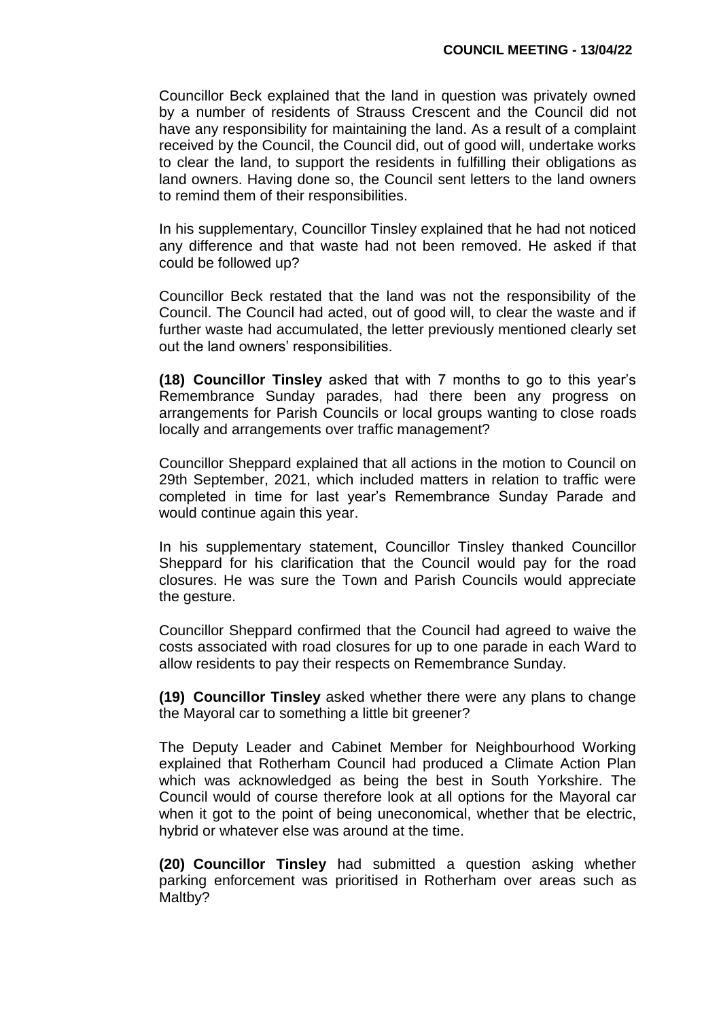Councillor Beck explained that the land in question was privately owned by a number of residents of Strauss Crescent and the Council did not have any responsibility for maintaining the land. As a result of a complaint received by the Council, the Council did, out of good will, undertake works to clear the land, to support the residents in fulfilling their obligations as land owners. Having done so, the Council sent letters to the land owners to remind them of their responsibilities.

In his supplementary, Councillor Tinsley explained that he had not noticed any difference and that waste had not been removed. He asked if that could be followed up?

Councillor Beck restated that the land was not the responsibility of the Council. The Council had acted, out of good will, to clear the waste and if further waste had accumulated, the letter previously mentioned clearly set out the land owners' responsibilities.

**(18) Councillor Tinsley** asked that with 7 months to go to this year's Remembrance Sunday parades, had there been any progress on arrangements for Parish Councils or local groups wanting to close roads locally and arrangements over traffic management?

Councillor Sheppard explained that all actions in the motion to Council on 29th September, 2021, which included matters in relation to traffic were completed in time for last year's Remembrance Sunday Parade and would continue again this year.

In his supplementary statement, Councillor Tinsley thanked Councillor Sheppard for his clarification that the Council would pay for the road closures. He was sure the Town and Parish Councils would appreciate the gesture.

Councillor Sheppard confirmed that the Council had agreed to waive the costs associated with road closures for up to one parade in each Ward to allow residents to pay their respects on Remembrance Sunday.

**(19) Councillor Tinsley** asked whether there were any plans to change the Mayoral car to something a little bit greener?

The Deputy Leader and Cabinet Member for Neighbourhood Working explained that Rotherham Council had produced a Climate Action Plan which was acknowledged as being the best in South Yorkshire. The Council would of course therefore look at all options for the Mayoral car when it got to the point of being uneconomical, whether that be electric, hybrid or whatever else was around at the time.

**(20) Councillor Tinsley** had submitted a question asking whether parking enforcement was prioritised in Rotherham over areas such as Maltby?